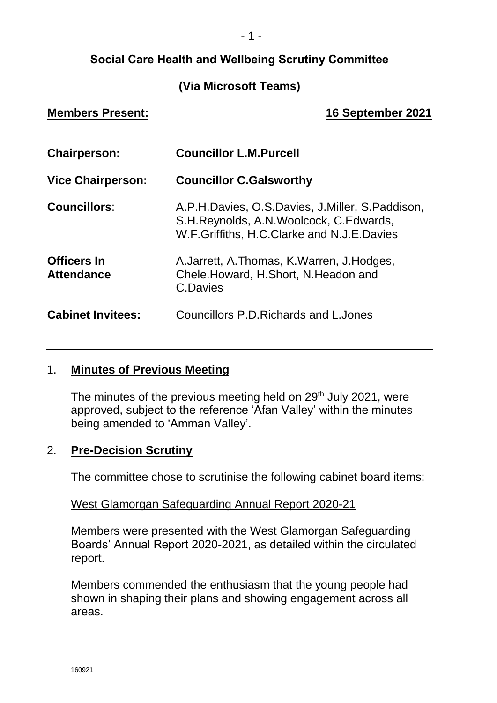# **Social Care Health and Wellbeing Scrutiny Committee**

# **(Via Microsoft Teams)**

# **Members Present: 16 September 2021**

| <b>Chairperson:</b>                     | <b>Councillor L.M.Purcell</b>                                                                                                              |
|-----------------------------------------|--------------------------------------------------------------------------------------------------------------------------------------------|
| <b>Vice Chairperson:</b>                | <b>Councillor C.Galsworthy</b>                                                                                                             |
| <b>Councillors:</b>                     | A.P.H.Davies, O.S.Davies, J.Miller, S.Paddison,<br>S.H. Reynolds, A.N. Woolcock, C. Edwards,<br>W.F.Griffiths, H.C.Clarke and N.J.E.Davies |
| <b>Officers In</b><br><b>Attendance</b> | A. Jarrett, A. Thomas, K. Warren, J. Hodges,<br>Chele.Howard, H.Short, N.Headon and<br>C.Davies                                            |
| <b>Cabinet Invitees:</b>                | Councillors P.D. Richards and L. Jones                                                                                                     |

# 1. **Minutes of Previous Meeting**

The minutes of the previous meeting held on 29<sup>th</sup> July 2021, were approved, subject to the reference 'Afan Valley' within the minutes being amended to 'Amman Valley'.

### 2. **Pre-Decision Scrutiny**

The committee chose to scrutinise the following cabinet board items:

### West Glamorgan Safeguarding Annual Report 2020-21

Members were presented with the West Glamorgan Safeguarding Boards' Annual Report 2020-2021, as detailed within the circulated report.

Members commended the enthusiasm that the young people had shown in shaping their plans and showing engagement across all areas.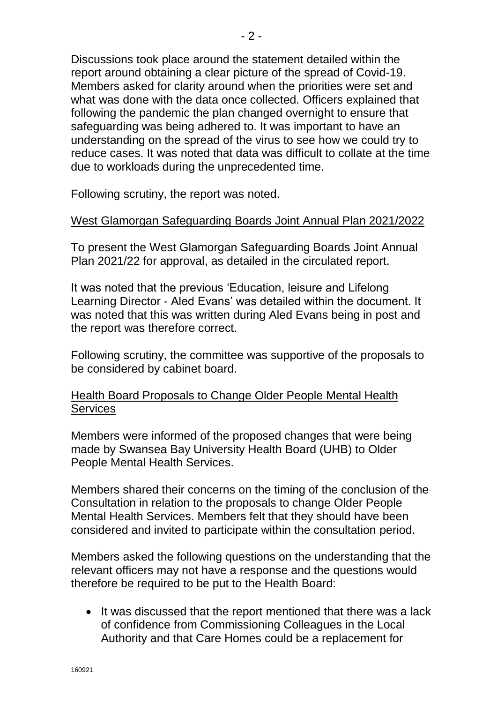Discussions took place around the statement detailed within the report around obtaining a clear picture of the spread of Covid-19. Members asked for clarity around when the priorities were set and what was done with the data once collected. Officers explained that following the pandemic the plan changed overnight to ensure that safeguarding was being adhered to. It was important to have an understanding on the spread of the virus to see how we could try to reduce cases. It was noted that data was difficult to collate at the time due to workloads during the unprecedented time.

Following scrutiny, the report was noted.

### West Glamorgan Safeguarding Boards Joint Annual Plan 2021/2022

To present the West Glamorgan Safeguarding Boards Joint Annual Plan 2021/22 for approval, as detailed in the circulated report.

It was noted that the previous 'Education, leisure and Lifelong Learning Director - Aled Evans' was detailed within the document. It was noted that this was written during Aled Evans being in post and the report was therefore correct.

Following scrutiny, the committee was supportive of the proposals to be considered by cabinet board.

## Health Board Proposals to Change Older People Mental Health **Services**

Members were informed of the proposed changes that were being made by Swansea Bay University Health Board (UHB) to Older People Mental Health Services.

Members shared their concerns on the timing of the conclusion of the Consultation in relation to the proposals to change Older People Mental Health Services. Members felt that they should have been considered and invited to participate within the consultation period.

Members asked the following questions on the understanding that the relevant officers may not have a response and the questions would therefore be required to be put to the Health Board:

• It was discussed that the report mentioned that there was a lack of confidence from Commissioning Colleagues in the Local Authority and that Care Homes could be a replacement for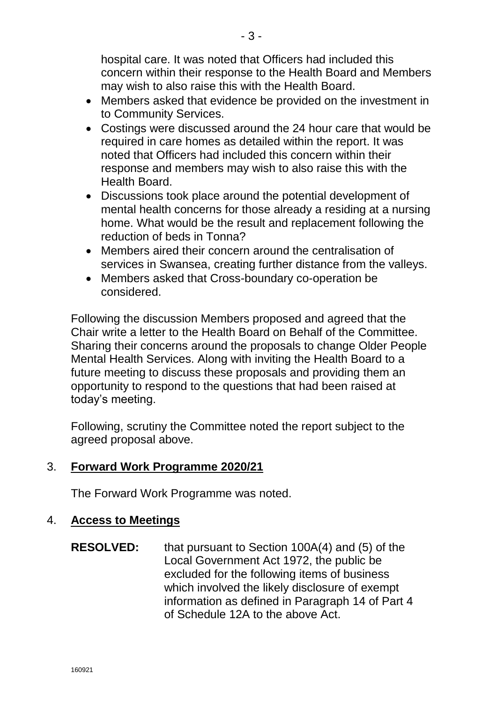hospital care. It was noted that Officers had included this concern within their response to the Health Board and Members may wish to also raise this with the Health Board.

- Members asked that evidence be provided on the investment in to Community Services.
- Costings were discussed around the 24 hour care that would be required in care homes as detailed within the report. It was noted that Officers had included this concern within their response and members may wish to also raise this with the Health Board.
- Discussions took place around the potential development of mental health concerns for those already a residing at a nursing home. What would be the result and replacement following the reduction of beds in Tonna?
- Members aired their concern around the centralisation of services in Swansea, creating further distance from the valleys.
- Members asked that Cross-boundary co-operation be considered.

Following the discussion Members proposed and agreed that the Chair write a letter to the Health Board on Behalf of the Committee. Sharing their concerns around the proposals to change Older People Mental Health Services. Along with inviting the Health Board to a future meeting to discuss these proposals and providing them an opportunity to respond to the questions that had been raised at today's meeting.

Following, scrutiny the Committee noted the report subject to the agreed proposal above.

# 3. **Forward Work Programme 2020/21**

The Forward Work Programme was noted.

# 4. **Access to Meetings**

**RESOLVED:** that pursuant to Section 100A(4) and (5) of the Local Government Act 1972, the public be excluded for the following items of business which involved the likely disclosure of exempt information as defined in Paragraph 14 of Part 4 of Schedule 12A to the above Act.